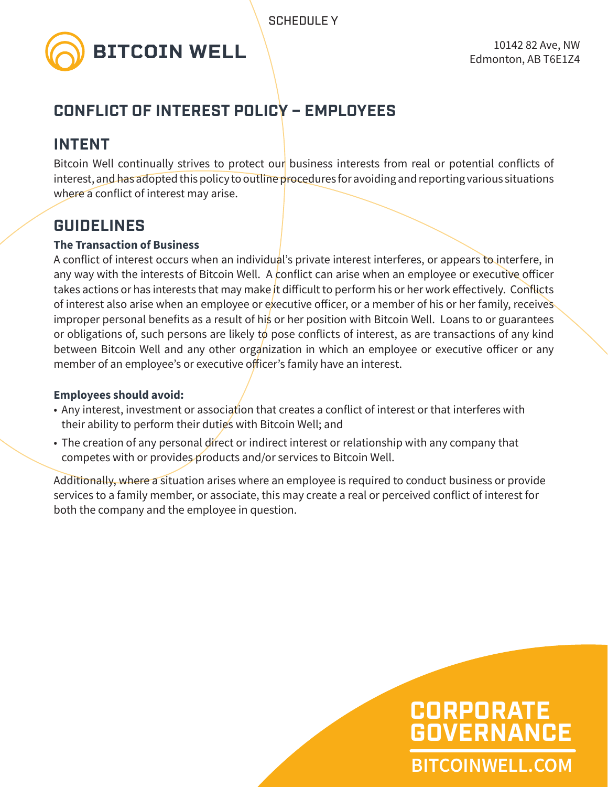

### **CONFLICT OF INTEREST POLICY – EMPLOYEES**

### **INTENT**

Bitcoin Well continually strives to protect our business interests from real or potential conflicts of interest, and has adopted this policy to outline procedures for avoiding and reporting various situations where a conflict of interest may arise.

### **GUIDELINES**

#### **The Transaction of Business**

A conflict of interest occurs when an individual's private interest interferes, or appears to interfere, in any way with the interests of Bitcoin Well. A conflict can arise when an employee or executive officer takes actions or has interests that may make it difficult to perform his or her work effectively. Conflicts of interest also arise when an employee or executive officer, or a member of his or her family, receives improper personal benefits as a result of his or her position with Bitcoin Well. Loans to or guarantees or obligations of, such persons are likely to pose conflicts of interest, as are transactions of any kind between Bitcoin Well and any other organization in which an employee or executive officer or any member of an employee's or executive officer's family have an interest.

#### **Employees should avoid:**

- Any interest, investment or association that creates a conflict of interest or that interferes with their ability to perform their duties with Bitcoin Well; and
- The creation of any personal direct or indirect interest or relationship with any company that competes with or provides products and/or services to Bitcoin Well.

Additionally, where a situation arises where an employee is required to conduct business or provide services to a family member, or associate, this may create a real or perceived conflict of interest for both the company and the employee in question.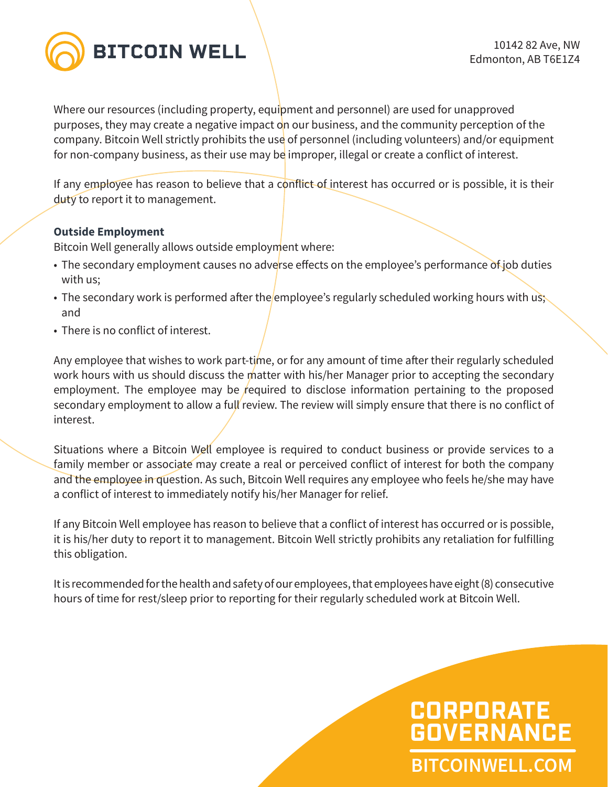

Where our resources (including property, equipment and personnel) are used for unapproved purposes, they may create a negative impact on our business, and the community perception of the company. Bitcoin Well strictly prohibits the use of personnel (including volunteers) and/or equipment for non-company business, as their use may be improper, illegal or create a conflict of interest.

If any employee has reason to believe that a conflict-of interest has occurred or is possible, it is their duty to report it to management.

#### **Outside Employment**

Bitcoin Well generally allows outside employment where:

- The secondary employment causes no adverse effects on the employee's performance of job duties with us;
- The secondary work is performed after the employee's regularly scheduled working hours with us; and
- There is no conflict of interest.

Any employee that wishes to work part-time, or for any amount of time after their regularly scheduled work hours with us should discuss the matter with his/her Manager prior to accepting the secondary employment. The employee may be required to disclose information pertaining to the proposed secondary employment to allow a full review. The review will simply ensure that there is no conflict of interest.

Situations where a Bitcoin Well employee is required to conduct business or provide services to a family member or associate may create a real or perceived conflict of interest for both the company and the employee in question. As such, Bitcoin Well requires any employee who feels he/she may have a conflict of interest to immediately notify his/her Manager for relief.

If any Bitcoin Well employee has reason to believe that a conflict of interest has occurred or is possible, it is his/her duty to report it to management. Bitcoin Well strictly prohibits any retaliation for fulfilling this obligation.

It is recommended for the health and safety of our employees, that employees have eight (8) consecutive hours of time for rest/sleep prior to reporting for their regularly scheduled work at Bitcoin Well.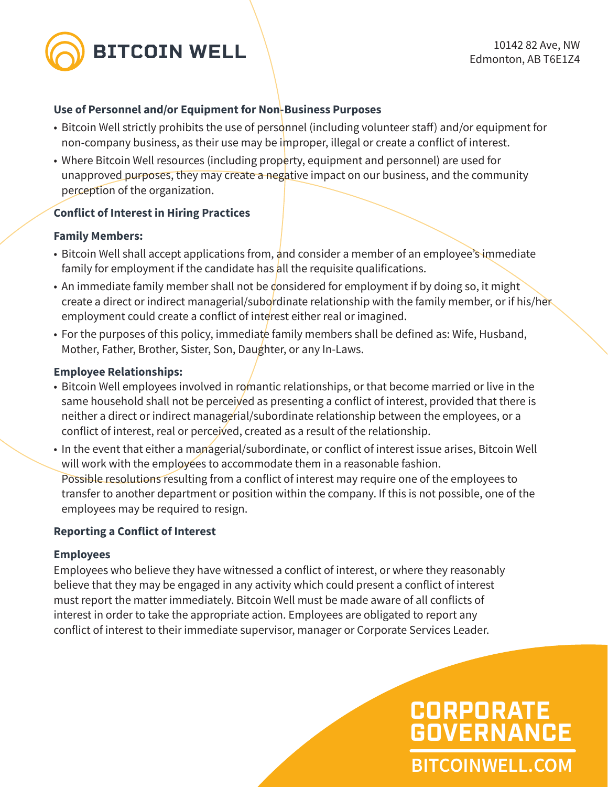

#### **Use of Personnel and/or Equipment for Non-Business Purposes**

- Bitcoin Well strictly prohibits the use of personnel (including volunteer staff) and/or equipment for non-company business, as their use may be improper, illegal or create a conflict of interest.
- Where Bitcoin Well resources (including property, equipment and personnel) are used for unapproved purposes, they may create a negative impact on our business, and the community perception of the organization.

#### **Conflict of Interest in Hiring Practices**

#### **Family Members:**

- Bitcoin Well shall accept applications from, and consider a member of an employee's immediate family for employment if the candidate has all the requisite qualifications.
- An immediate family member shall not be considered for employment if by doing so, it might create a direct or indirect managerial/subordinate relationship with the family member, or if his/her employment could create a conflict of interest either real or imagined.
- For the purposes of this policy, immediate family members shall be defined as: Wife, Husband, Mother, Father, Brother, Sister, Son, Daughter, or any In-Laws.

#### **Employee Relationships:**

- Bitcoin Well employees involved in romantic relationships, or that become married or live in the same household shall not be perceived as presenting a conflict of interest, provided that there is neither a direct or indirect managerial/subordinate relationship between the employees, or a conflict of interest, real or perceived, created as a result of the relationship.
- In the event that either a managerial/subordinate, or conflict of interest issue arises, Bitcoin Well will work with the employees to accommodate them in a reasonable fashion. Possible resolutions resulting from a conflict of interest may require one of the employees to transfer to another department or position within the company. If this is not possible, one of the employees may be required to resign.

#### **Reporting a Conflict of Interest**

#### **Employees**

Employees who believe they have witnessed a conflict of interest, or where they reasonably believe that they may be engaged in any activity which could present a conflict of interest must report the matter immediately. Bitcoin Well must be made aware of all conflicts of interest in order to take the appropriate action. Employees are obligated to report any conflict of interest to their immediate supervisor, manager or Corporate Services Leader.